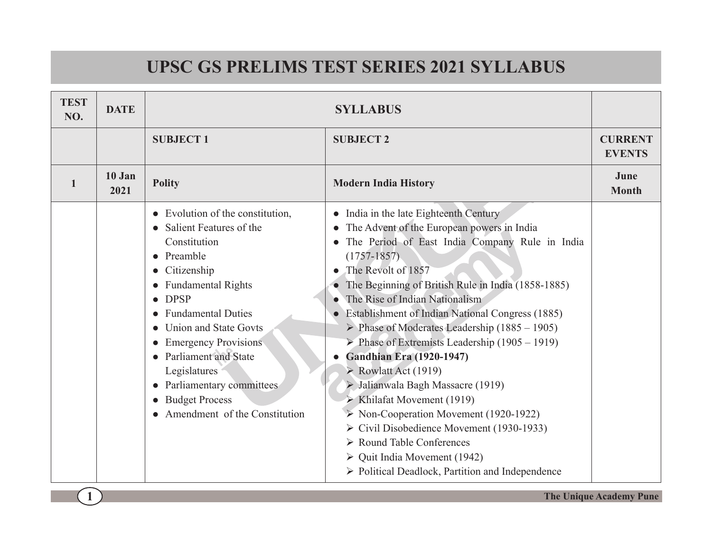## **UPSC GS PRELIMS TEST SERIES 2021 SYLLABUS**

| <b>TEST</b><br>NO. | <b>DATE</b>    |                                                                                                                                                                                                                                                                                                                                                                                         | <b>SYLLABUS</b>                                                                                                                                                                                                                                                                                                                                                                                                                                                                                                                                                                                                                                                                                                                                                                                                                                                                              |                                 |
|--------------------|----------------|-----------------------------------------------------------------------------------------------------------------------------------------------------------------------------------------------------------------------------------------------------------------------------------------------------------------------------------------------------------------------------------------|----------------------------------------------------------------------------------------------------------------------------------------------------------------------------------------------------------------------------------------------------------------------------------------------------------------------------------------------------------------------------------------------------------------------------------------------------------------------------------------------------------------------------------------------------------------------------------------------------------------------------------------------------------------------------------------------------------------------------------------------------------------------------------------------------------------------------------------------------------------------------------------------|---------------------------------|
|                    |                | <b>SUBJECT1</b>                                                                                                                                                                                                                                                                                                                                                                         | <b>SUBJECT 2</b>                                                                                                                                                                                                                                                                                                                                                                                                                                                                                                                                                                                                                                                                                                                                                                                                                                                                             | <b>CURRENT</b><br><b>EVENTS</b> |
| 1                  | 10 Jan<br>2021 | <b>Polity</b>                                                                                                                                                                                                                                                                                                                                                                           | <b>Modern India History</b>                                                                                                                                                                                                                                                                                                                                                                                                                                                                                                                                                                                                                                                                                                                                                                                                                                                                  | June<br><b>Month</b>            |
|                    |                | Evolution of the constitution,<br>Salient Features of the<br>Constitution<br>Preamble<br>$\bullet$<br>Citizenship<br><b>Fundamental Rights</b><br><b>DPSP</b><br><b>Fundamental Duties</b><br>Union and State Govts<br><b>Emergency Provisions</b><br><b>Parliament and State</b><br>Legislatures<br>Parliamentary committees<br><b>Budget Process</b><br>Amendment of the Constitution | • India in the late Eighteenth Century<br>The Advent of the European powers in India<br>The Period of East India Company Rule in India<br>$(1757 - 1857)$<br>The Revolt of 1857<br>The Beginning of British Rule in India (1858-1885)<br>The Rise of Indian Nationalism<br>Establishment of Indian National Congress (1885)<br>Phase of Moderates Leadership $(1885 - 1905)$<br>$\triangleright$ Phase of Extremists Leadership (1905 – 1919)<br><b>Gandhian Era</b> (1920-1947)<br>$\triangleright$ Rowlatt Act (1919)<br>> Jalianwala Bagh Massacre (1919)<br>$\triangleright$ Khilafat Movement (1919)<br>$\triangleright$ Non-Cooperation Movement (1920-1922)<br>$\triangleright$ Civil Disobedience Movement (1930-1933)<br>$\triangleright$ Round Table Conferences<br>$\triangleright$ Quit India Movement (1942)<br>$\triangleright$ Political Deadlock, Partition and Independence |                                 |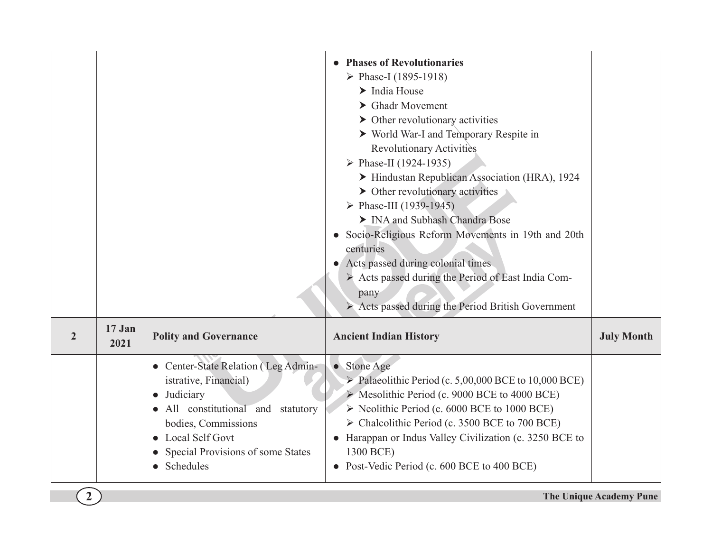|                |                |                                                                                                                                                                                                           | • Phases of Revolutionaries<br>> Phase-I (1895-1918)<br>$\blacktriangleright$ India House<br>$\blacktriangleright$ Ghadr Movement<br>$\triangleright$ Other revolutionary activities<br>> World War-I and Temporary Respite in<br><b>Revolutionary Activities</b><br>> Phase-II (1924-1935)<br>Hindustan Republican Association (HRA), 1924<br>$\triangleright$ Other revolutionary activities<br>> Phase-III (1939-1945)<br>> INA and Subhash Chandra Bose<br>Socio-Religious Reform Movements in 19th and 20th<br>centuries<br>Acts passed during colonial times<br>Acts passed during the Period of East India Com-<br>pany<br>Acts passed during the Period British Government |                   |
|----------------|----------------|-----------------------------------------------------------------------------------------------------------------------------------------------------------------------------------------------------------|------------------------------------------------------------------------------------------------------------------------------------------------------------------------------------------------------------------------------------------------------------------------------------------------------------------------------------------------------------------------------------------------------------------------------------------------------------------------------------------------------------------------------------------------------------------------------------------------------------------------------------------------------------------------------------|-------------------|
| $\overline{2}$ | 17 Jan<br>2021 | <b>Polity and Governance</b>                                                                                                                                                                              | <b>Ancient Indian History</b>                                                                                                                                                                                                                                                                                                                                                                                                                                                                                                                                                                                                                                                      | <b>July Month</b> |
|                |                | • Center-State Relation (Leg Admin-<br>istrative, Financial)<br>Judiciary<br>All constitutional and statutory<br>bodies, Commissions<br>Local Self Govt<br>Special Provisions of some States<br>Schedules | • Stone Age<br>$\triangleright$ Palaeolithic Period (c. 5,00,000 BCE to 10,000 BCE)<br>> Mesolithic Period (c. 9000 BCE to 4000 BCE)<br>Soluthic Period (c. 6000 BCE to 1000 BCE)<br>> Chalcolithic Period (c. 3500 BCE to 700 BCE)<br>Harappan or Indus Valley Civilization (c. 3250 BCE to<br>1300 BCE)<br>Post-Vedic Period (c. 600 BCE to 400 BCE)                                                                                                                                                                                                                                                                                                                             |                   |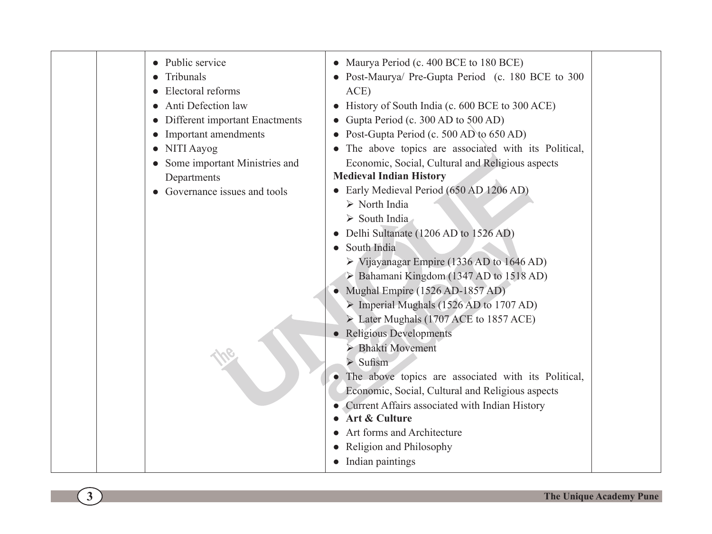| • Public service<br>Tribunals<br>Electoral reforms<br>Anti Defection law<br>• Different important Enactments<br>• Important amendments<br>• NITI Aayog<br>• Some important Ministries and<br>Departments<br>• Governance issues and tools | • Maurya Period (c. 400 BCE to 180 BCE)<br>• Post-Maurya/ Pre-Gupta Period (c. 180 BCE to 300<br>ACE)<br>History of South India (c. 600 BCE to 300 ACE)<br>Gupta Period (c. 300 AD to 500 AD)<br>• Post-Gupta Period (c. 500 AD to 650 AD)<br>The above topics are associated with its Political,<br>Economic, Social, Cultural and Religious aspects<br><b>Medieval Indian History</b><br>• Early Medieval Period (650 AD 1206 AD)<br>$\triangleright$ North India<br>$\triangleright$ South India<br>Delhi Sultanate (1206 AD to 1526 AD)<br>South India<br>$\triangleright$ Vijayanagar Empire (1336 AD to 1646 AD)<br>> Bahamani Kingdom (1347 AD to 1518 AD)<br>• Mughal Empire (1526 AD-1857 AD)<br>$\triangleright$ Imperial Mughals (1526 AD to 1707 AD)<br>Later Mughals (1707 ACE to 1857 ACE)<br><b>Religious Developments</b><br>Bhakti Movement<br>$\triangleright$ Sufism<br>• The above topics are associated with its Political,<br>Economic, Social, Cultural and Religious aspects<br>Current Affairs associated with Indian History<br>Art & Culture<br>Art forms and Architecture<br>Religion and Philosophy<br>Indian paintings |
|-------------------------------------------------------------------------------------------------------------------------------------------------------------------------------------------------------------------------------------------|------------------------------------------------------------------------------------------------------------------------------------------------------------------------------------------------------------------------------------------------------------------------------------------------------------------------------------------------------------------------------------------------------------------------------------------------------------------------------------------------------------------------------------------------------------------------------------------------------------------------------------------------------------------------------------------------------------------------------------------------------------------------------------------------------------------------------------------------------------------------------------------------------------------------------------------------------------------------------------------------------------------------------------------------------------------------------------------------------------------------------------------------------|
|-------------------------------------------------------------------------------------------------------------------------------------------------------------------------------------------------------------------------------------------|------------------------------------------------------------------------------------------------------------------------------------------------------------------------------------------------------------------------------------------------------------------------------------------------------------------------------------------------------------------------------------------------------------------------------------------------------------------------------------------------------------------------------------------------------------------------------------------------------------------------------------------------------------------------------------------------------------------------------------------------------------------------------------------------------------------------------------------------------------------------------------------------------------------------------------------------------------------------------------------------------------------------------------------------------------------------------------------------------------------------------------------------------|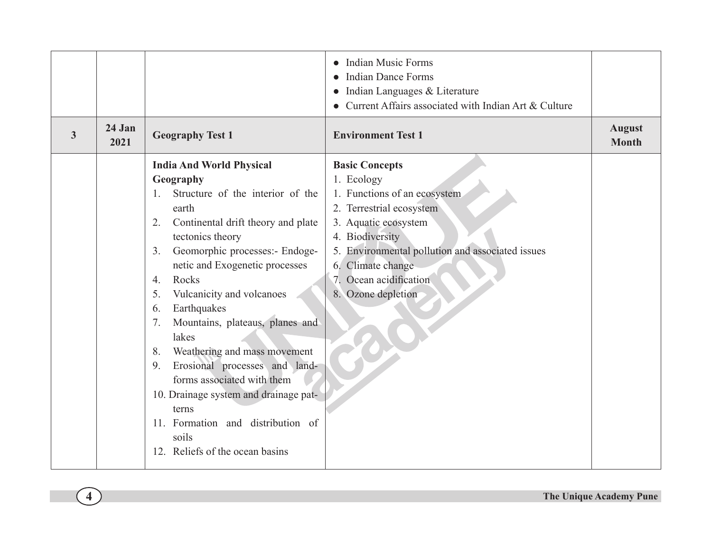|   |                |                                                                                                                                                                                                                                                                                                                                                                                                                                                                                     | <b>Indian Music Forms</b><br><b>Indian Dance Forms</b><br>Indian Languages & Literature<br>Current Affairs associated with Indian Art & Culture                                                                                                                     |                               |
|---|----------------|-------------------------------------------------------------------------------------------------------------------------------------------------------------------------------------------------------------------------------------------------------------------------------------------------------------------------------------------------------------------------------------------------------------------------------------------------------------------------------------|---------------------------------------------------------------------------------------------------------------------------------------------------------------------------------------------------------------------------------------------------------------------|-------------------------------|
| 3 | 24 Jan<br>2021 | <b>Geography Test 1</b>                                                                                                                                                                                                                                                                                                                                                                                                                                                             | <b>Environment Test 1</b>                                                                                                                                                                                                                                           | <b>August</b><br><b>Month</b> |
|   |                | <b>India And World Physical</b><br>Geography<br>Structure of the interior of the<br>$\mathbf{1}$<br>earth<br>Continental drift theory and plate<br>2.<br>tectonics theory<br>Geomorphic processes:- Endoge-<br>3 <sub>1</sub><br>netic and Exogenetic processes<br>Rocks<br>$\overline{4}$ .<br>Vulcanicity and volcanoes<br>5.<br>Earthquakes<br>6.<br>Mountains, plateaus, planes and<br>7.<br>lakes<br>Weathering and mass movement<br>8.<br>Erosional processes and land-<br>9. | <b>Basic Concepts</b><br>1. Ecology<br>1. Functions of an ecosystem<br>2. Terrestrial ecosystem<br>3. Aquatic ecosystem<br>4. Biodiversity<br>5. Environmental pollution and associated issues<br>6. Climate change<br>7. Ocean acidification<br>8. Ozone depletion |                               |
|   |                | forms associated with them<br>10. Drainage system and drainage pat-<br>terns<br>11. Formation and distribution of<br>soils<br>12. Reliefs of the ocean basins                                                                                                                                                                                                                                                                                                                       |                                                                                                                                                                                                                                                                     |                               |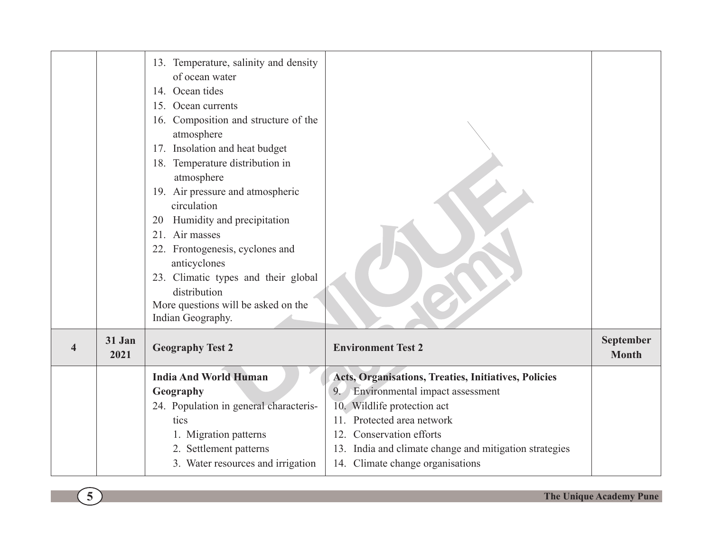|                         |                | 13. Temperature, salinity and density<br>of ocean water<br>14. Ocean tides<br>15. Ocean currents<br>16. Composition and structure of the<br>atmosphere<br>17. Insolation and heat budget<br>18. Temperature distribution in<br>atmosphere<br>19. Air pressure and atmospheric<br>circulation<br>Humidity and precipitation<br>20<br>21. Air masses<br>22. Frontogenesis, cyclones and<br>anticyclones<br>23. Climatic types and their global<br>distribution<br>More questions will be asked on the<br>Indian Geography. |                                                                                                                                                                                                                                                                                                  |                           |
|-------------------------|----------------|--------------------------------------------------------------------------------------------------------------------------------------------------------------------------------------------------------------------------------------------------------------------------------------------------------------------------------------------------------------------------------------------------------------------------------------------------------------------------------------------------------------------------|--------------------------------------------------------------------------------------------------------------------------------------------------------------------------------------------------------------------------------------------------------------------------------------------------|---------------------------|
| $\overline{\mathbf{4}}$ | 31 Jan<br>2021 | <b>Geography Test 2</b>                                                                                                                                                                                                                                                                                                                                                                                                                                                                                                  | <b>Environment Test 2</b>                                                                                                                                                                                                                                                                        | September<br><b>Month</b> |
|                         |                | <b>India And World Human</b><br>Geography<br>24. Population in general characteris-<br>tics<br>1. Migration patterns<br>2. Settlement patterns<br>3. Water resources and irrigation                                                                                                                                                                                                                                                                                                                                      | Acts, Organisations, Treaties, Initiatives, Policies<br>Environmental impact assessment<br>9 <sub>1</sub><br>10. Wildlife protection act<br>11. Protected area network<br>12. Conservation efforts<br>13. India and climate change and mitigation strategies<br>14. Climate change organisations |                           |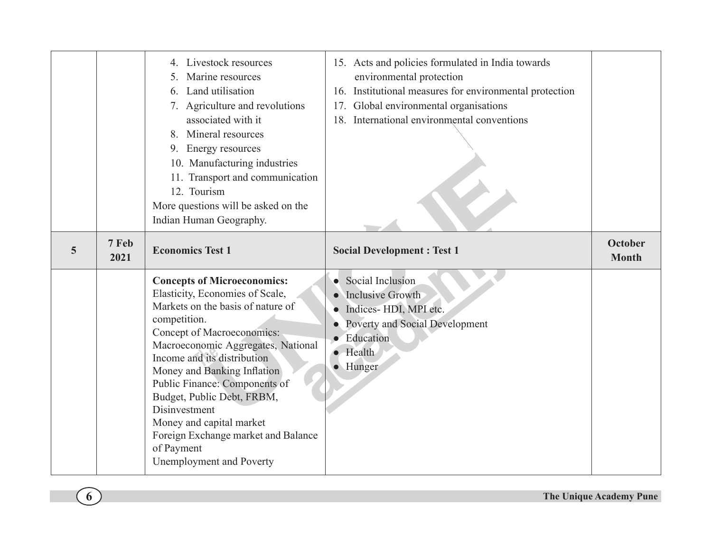|   |               | 4. Livestock resources<br>Marine resources<br>5.<br>6. Land utilisation<br>7. Agriculture and revolutions<br>associated with it<br>8. Mineral resources<br>9. Energy resources<br>10. Manufacturing industries<br>11. Transport and communication<br>12. Tourism<br>More questions will be asked on the<br>Indian Human Geography.                                                                                                                        | 15. Acts and policies formulated in India towards<br>environmental protection<br>16. Institutional measures for environmental protection<br>17. Global environmental organisations<br>18. International environmental conventions |                                |
|---|---------------|-----------------------------------------------------------------------------------------------------------------------------------------------------------------------------------------------------------------------------------------------------------------------------------------------------------------------------------------------------------------------------------------------------------------------------------------------------------|-----------------------------------------------------------------------------------------------------------------------------------------------------------------------------------------------------------------------------------|--------------------------------|
| 5 | 7 Feb<br>2021 | <b>Economics Test 1</b>                                                                                                                                                                                                                                                                                                                                                                                                                                   | <b>Social Development: Test 1</b>                                                                                                                                                                                                 | <b>October</b><br><b>Month</b> |
|   |               | <b>Concepts of Microeconomics:</b><br>Elasticity, Economies of Scale,<br>Markets on the basis of nature of<br>competition.<br>Concept of Macroeconomics:<br>Macroeconomic Aggregates, National<br>Income and its distribution<br>Money and Banking Inflation<br>Public Finance: Components of<br>Budget, Public Debt, FRBM,<br>Disinvestment<br>Money and capital market<br>Foreign Exchange market and Balance<br>of Payment<br>Unemployment and Poverty | • Social Inclusion<br>Inclusive Growth<br>· Indices-HDI, MPI etc.<br>Poverty and Social Development<br>• Education<br>$\bullet$ Health<br>· Hunger                                                                                |                                |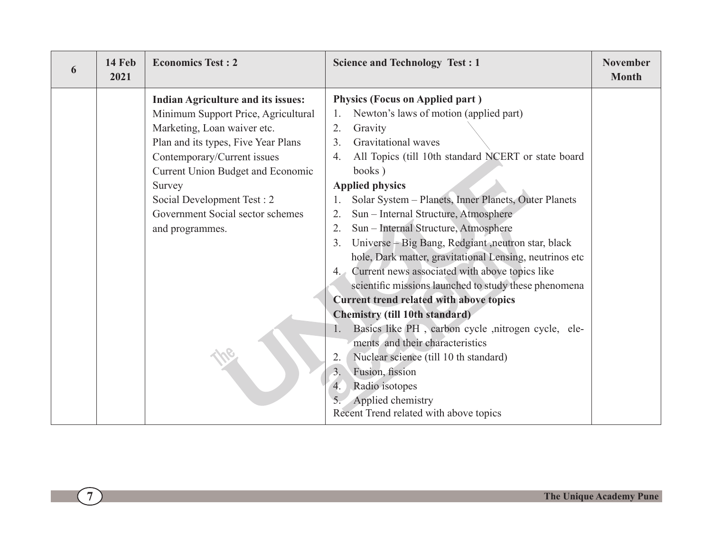| 14 Feb<br>6<br>2021 | <b>Economics Test: 2</b>                                                                                                                                                                                                                                                                                                  | <b>Science and Technology Test : 1</b>                                                                                                                                                                                                                                                                                                                                                                                                                                                                                                                                                                                                                                                                                                                                                                                                                                                                                                                                                                         | <b>November</b><br><b>Month</b> |
|---------------------|---------------------------------------------------------------------------------------------------------------------------------------------------------------------------------------------------------------------------------------------------------------------------------------------------------------------------|----------------------------------------------------------------------------------------------------------------------------------------------------------------------------------------------------------------------------------------------------------------------------------------------------------------------------------------------------------------------------------------------------------------------------------------------------------------------------------------------------------------------------------------------------------------------------------------------------------------------------------------------------------------------------------------------------------------------------------------------------------------------------------------------------------------------------------------------------------------------------------------------------------------------------------------------------------------------------------------------------------------|---------------------------------|
|                     | <b>Indian Agriculture and its issues:</b><br>Minimum Support Price, Agricultural<br>Marketing, Loan waiver etc.<br>Plan and its types, Five Year Plans<br>Contemporary/Current issues<br>Current Union Budget and Economic<br>Survey<br>Social Development Test: 2<br>Government Social sector schemes<br>and programmes. | <b>Physics (Focus on Applied part)</b><br>Newton's laws of motion (applied part)<br>$\mathbf{1}$<br>2.<br>Gravity<br>Gravitational waves<br>3.<br>All Topics (till 10th standard NCERT or state board<br>4.<br>books)<br><b>Applied physics</b><br>Solar System - Planets, Inner Planets, Outer Planets<br>Sun - Internal Structure, Atmosphere<br>2.<br>Sun - Internal Structure, Atmosphere<br>2.<br>Universe - Big Bang, Redgiant , neutron star, black<br>3 <sub>1</sub><br>hole, Dark matter, gravitational Lensing, neutrinos etc<br>4. Current news associated with above topics like<br>scientific missions launched to study these phenomena<br><b>Current trend related with above topics</b><br><b>Chemistry (till 10th standard)</b><br>Basics like PH, carbon cycle, nitrogen cycle, ele-<br>1.<br>ments and their characteristics<br>Nuclear science (till 10 th standard)<br>2.<br>3.<br>Fusion, fission<br>Radio isotopes<br>4.<br>Applied chemistry<br>Recent Trend related with above topics |                                 |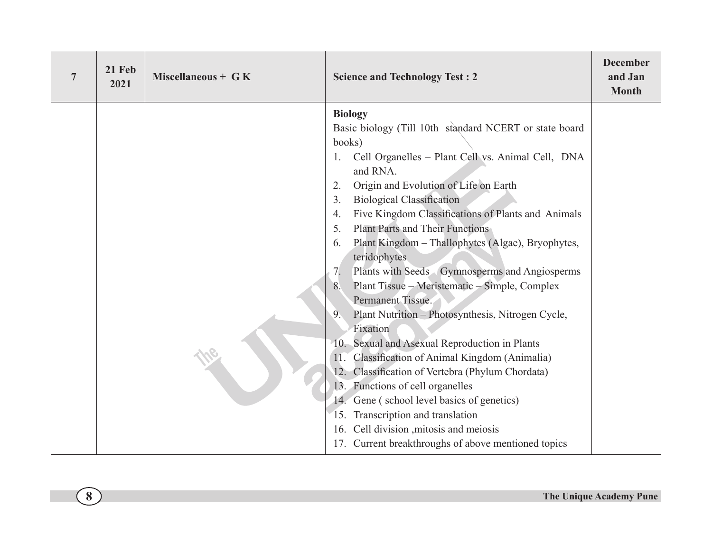| $\overline{7}$ | 21 Feb<br>2021 | Miscellaneous + $G K$ | <b>Science and Technology Test: 2</b>                                                 | <b>December</b><br>and Jan<br><b>Month</b> |
|----------------|----------------|-----------------------|---------------------------------------------------------------------------------------|--------------------------------------------|
|                |                |                       | <b>Biology</b>                                                                        |                                            |
|                |                |                       | Basic biology (Till 10th standard NCERT or state board                                |                                            |
|                |                |                       | books)                                                                                |                                            |
|                |                |                       | Cell Organelles - Plant Cell vs. Animal Cell, DNA                                     |                                            |
|                |                |                       | and RNA.                                                                              |                                            |
|                |                |                       | Origin and Evolution of Life on Earth<br>2.<br><b>Biological Classification</b><br>3. |                                            |
|                |                |                       | Five Kingdom Classifications of Plants and Animals<br>4.                              |                                            |
|                |                |                       | <b>Plant Parts and Their Functions</b><br>5.                                          |                                            |
|                |                |                       | Plant Kingdom - Thallophytes (Algae), Bryophytes,<br>6.                               |                                            |
|                |                |                       | teridophytes                                                                          |                                            |
|                |                |                       | Plants with Seeds – Gymnosperms and Angiosperms<br>7.                                 |                                            |
|                |                |                       | Plant Tissue – Meristematic – Simple, Complex                                         |                                            |
|                |                |                       | Permanent Tissue.                                                                     |                                            |
|                |                |                       | Plant Nutrition - Photosynthesis, Nitrogen Cycle,<br>9 <sub>1</sub>                   |                                            |
|                |                |                       | Fixation                                                                              |                                            |
|                |                |                       | 10. Sexual and Asexual Reproduction in Plants                                         |                                            |
|                |                |                       | Classification of Animal Kingdom (Animalia)                                           |                                            |
|                |                |                       | 12. Classification of Vertebra (Phylum Chordata)                                      |                                            |
|                |                |                       | 13. Functions of cell organelles                                                      |                                            |
|                |                |                       | 14. Gene (school level basics of genetics)                                            |                                            |
|                |                |                       | 15. Transcription and translation                                                     |                                            |
|                |                |                       | 16. Cell division , mitosis and meiosis                                               |                                            |
|                |                |                       | 17. Current breakthroughs of above mentioned topics                                   |                                            |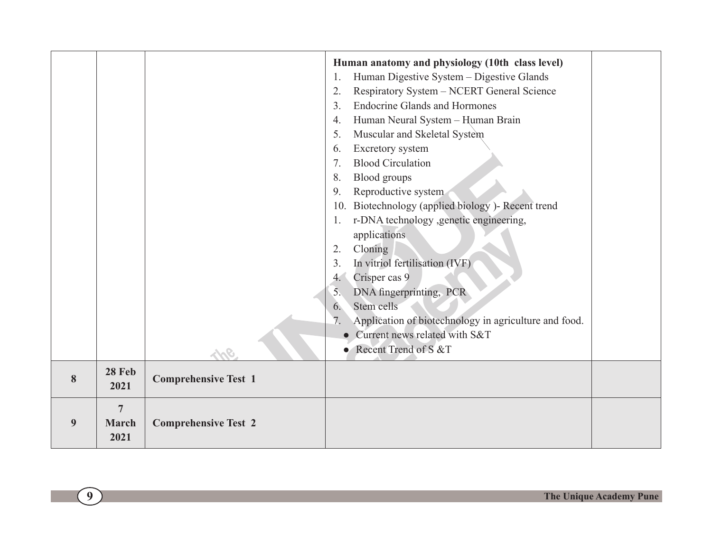|   |                       |                             | Human anatomy and physiology (10th class level)<br>Human Digestive System - Digestive Glands<br>1. |  |
|---|-----------------------|-----------------------------|----------------------------------------------------------------------------------------------------|--|
|   |                       |                             | Respiratory System - NCERT General Science<br>2.                                                   |  |
|   |                       |                             | <b>Endocrine Glands and Hormones</b><br>3 <sub>1</sub>                                             |  |
|   |                       |                             | 4.                                                                                                 |  |
|   |                       |                             | Human Neural System - Human Brain<br>5.                                                            |  |
|   |                       |                             | Muscular and Skeletal System                                                                       |  |
|   |                       |                             | Excretory system<br>6.<br><b>Blood Circulation</b><br>7 <sub>1</sub>                               |  |
|   |                       |                             |                                                                                                    |  |
|   |                       |                             | Blood groups<br>8.                                                                                 |  |
|   |                       |                             | Reproductive system<br>9.                                                                          |  |
|   |                       |                             | 10. Biotechnology (applied biology)-Recent trend                                                   |  |
|   |                       |                             | r-DNA technology ,genetic engineering,<br>1.                                                       |  |
|   |                       |                             | applications                                                                                       |  |
|   |                       |                             | Cloning<br>2.                                                                                      |  |
|   |                       |                             | In vitriol fertilisation (IVF)<br>3.                                                               |  |
|   |                       |                             | Crisper cas 9<br>4.                                                                                |  |
|   |                       |                             | DNA fingerprinting, PCR<br>5.                                                                      |  |
|   |                       |                             | Stem cells<br>6.                                                                                   |  |
|   |                       |                             | Application of biotechnology in agriculture and food.<br>7.                                        |  |
|   |                       |                             | Current news related with S&T                                                                      |  |
|   |                       |                             | • Recent Trend of S &T                                                                             |  |
| 8 | <b>28 Feb</b><br>2021 | <b>Comprehensive Test 1</b> |                                                                                                    |  |
|   | $\overline{7}$        |                             |                                                                                                    |  |
| 9 | <b>March</b><br>2021  | <b>Comprehensive Test 2</b> |                                                                                                    |  |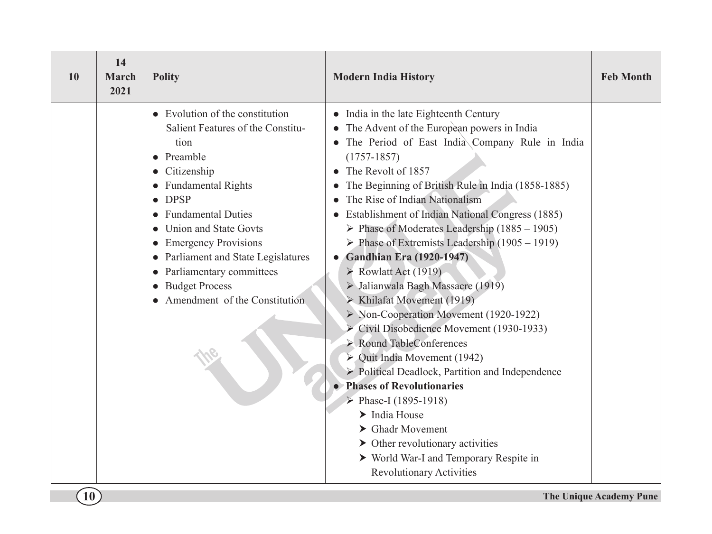| 10 | 14<br><b>March</b><br>2021 | <b>Polity</b>                                                                                                                                                                                                                                                                                                                                                                 | <b>Modern India History</b>                                                                                                                                                                                                                                                                                                                                                                                                                                                                                                                                                                                                                                                                                                                                                                                                                                                                                                                                                                                                                                                                                                                                   | <b>Feb Month</b> |
|----|----------------------------|-------------------------------------------------------------------------------------------------------------------------------------------------------------------------------------------------------------------------------------------------------------------------------------------------------------------------------------------------------------------------------|---------------------------------------------------------------------------------------------------------------------------------------------------------------------------------------------------------------------------------------------------------------------------------------------------------------------------------------------------------------------------------------------------------------------------------------------------------------------------------------------------------------------------------------------------------------------------------------------------------------------------------------------------------------------------------------------------------------------------------------------------------------------------------------------------------------------------------------------------------------------------------------------------------------------------------------------------------------------------------------------------------------------------------------------------------------------------------------------------------------------------------------------------------------|------------------|
|    |                            | $\bullet$ Evolution of the constitution<br>Salient Features of the Constitu-<br>tion<br>• Preamble<br>Citizenship<br><b>Fundamental Rights</b><br><b>DPSP</b><br><b>Fundamental Duties</b><br>Union and State Govts<br><b>Emergency Provisions</b><br>Parliament and State Legislatures<br>Parliamentary committees<br><b>Budget Process</b><br>Amendment of the Constitution | • India in the late Eighteenth Century<br>• The Advent of the European powers in India<br>• The Period of East India Company Rule in India<br>$(1757 - 1857)$<br>The Revolt of 1857<br>The Beginning of British Rule in India (1858-1885)<br>The Rise of Indian Nationalism<br>Establishment of Indian National Congress (1885)<br>$\triangleright$ Phase of Moderates Leadership (1885 – 1905)<br>$\triangleright$ Phase of Extremists Leadership (1905 – 1919)<br>• Gandhian Era (1920-1947)<br>$\triangleright$ Rowlatt Act (1919)<br>> Jalianwala Bagh Massacre (1919)<br>> Khilafat Movement (1919)<br>$\triangleright$ Non-Cooperation Movement (1920-1922)<br>Civil Disobedience Movement (1930-1933)<br>$\triangleright$ Round TableConferences<br>$\triangleright$ Quit India Movement (1942)<br>$\triangleright$ Political Deadlock, Partition and Independence<br>• Phases of Revolutionaries<br>$\triangleright$ Phase-I (1895-1918)<br>$\blacktriangleright$ India House<br>$\blacktriangleright$ Ghadr Movement<br>$\triangleright$ Other revolutionary activities<br>▶ World War-I and Temporary Respite in<br><b>Revolutionary Activities</b> |                  |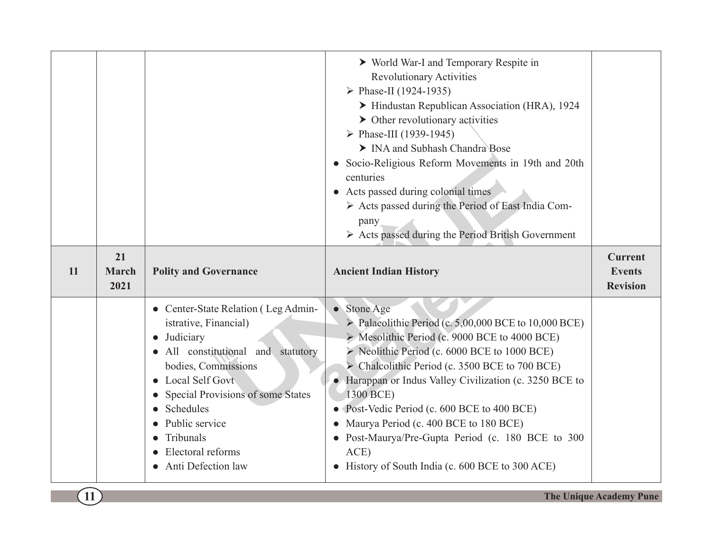|    |                            |                                                                                                                                                                                                                                                                                                      | ▶ World War-I and Temporary Respite in<br><b>Revolutionary Activities</b><br>$\triangleright$ Phase-II (1924-1935)<br>Hindustan Republican Association (HRA), 1924<br>$\triangleright$ Other revolutionary activities<br>$\triangleright$ Phase-III (1939-1945)<br>> INA and Subhash Chandra Bose<br>Socio-Religious Reform Movements in 19th and 20th<br>centuries<br>• Acts passed during colonial times<br>> Acts passed during the Period of East India Com-<br>pany<br>$\triangleright$ Acts passed during the Period British Government |                                                    |
|----|----------------------------|------------------------------------------------------------------------------------------------------------------------------------------------------------------------------------------------------------------------------------------------------------------------------------------------------|-----------------------------------------------------------------------------------------------------------------------------------------------------------------------------------------------------------------------------------------------------------------------------------------------------------------------------------------------------------------------------------------------------------------------------------------------------------------------------------------------------------------------------------------------|----------------------------------------------------|
| 11 | 21<br><b>March</b><br>2021 | <b>Polity and Governance</b>                                                                                                                                                                                                                                                                         | <b>Ancient Indian History</b>                                                                                                                                                                                                                                                                                                                                                                                                                                                                                                                 | <b>Current</b><br><b>Events</b><br><b>Revision</b> |
|    |                            | • Center-State Relation (Leg Admin-<br>istrative, Financial)<br>• Judiciary<br>All constitutional and statutory<br>bodies, Commissions<br>• Local Self Govt<br>Special Provisions of some States<br>Schedules<br>$\bullet$<br>Public service<br>Tribunals<br>Electoral reforms<br>Anti Defection law | • Stone Age<br>$\triangleright$ Palaeolithic Period (c. 5,00,000 BCE to 10,000 BCE)<br>> Mesolithic Period (c. 9000 BCE to 4000 BCE)<br>> Neolithic Period (c. 6000 BCE to 1000 BCE)<br>> Chalcolithic Period (c. 3500 BCE to 700 BCE)<br>• Harappan or Indus Valley Civilization (c. 3250 BCE to<br>1300 BCE)<br>• Post-Vedic Period (c. 600 BCE to 400 BCE)<br>Maurya Period (c. 400 BCE to 180 BCE)<br>• Post-Maurya/Pre-Gupta Period (c. 180 BCE to 300<br>ACE)<br>• History of South India (c. 600 BCE to 300 ACE)                       |                                                    |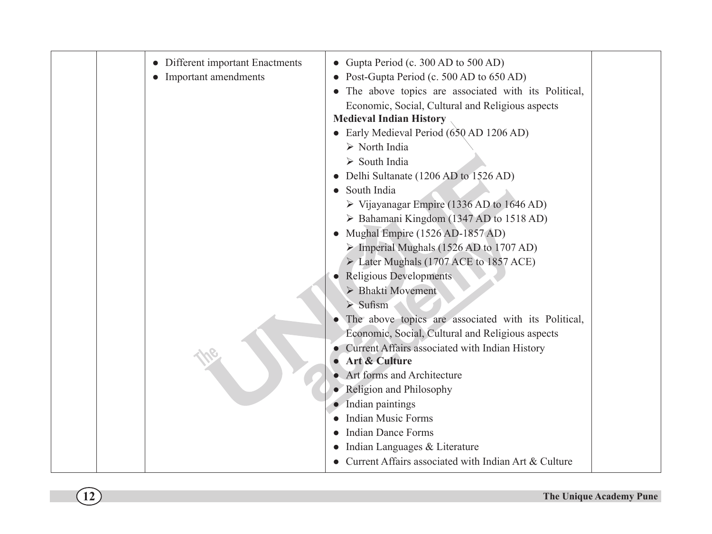| • Different important Enactments<br>• Important amendments | • Gupta Period (c. 300 AD to 500 AD)<br>• Post-Gupta Period (c. 500 AD to 650 AD)<br>• The above topics are associated with its Political,<br>Economic, Social, Cultural and Religious aspects<br><b>Medieval Indian History</b><br>• Early Medieval Period (650 AD 1206 AD)<br>$\triangleright$ North India<br>$\triangleright$ South India<br>• Delhi Sultanate (1206 AD to 1526 AD)<br>South India<br>$\triangleright$ Vijayanagar Empire (1336 AD to 1646 AD)<br>> Bahamani Kingdom (1347 AD to 1518 AD)<br>Mughal Empire (1526 AD-1857 AD)<br>$\triangleright$ Imperial Mughals (1526 AD to 1707 AD)<br>Later Mughals (1707 ACE to 1857 ACE)<br><b>Religious Developments</b><br>> Bhakti Movement<br>$\triangleright$ Sufism<br>The above topics are associated with its Political,<br>Economic, Social, Cultural and Religious aspects<br>Current Affairs associated with Indian History<br>Art & Culture<br>• Art forms and Architecture<br>• Religion and Philosophy<br>• Indian paintings<br><b>Indian Music Forms</b><br><b>Indian Dance Forms</b><br>Indian Languages & Literature<br>Current Affairs associated with Indian Art & Culture |  |
|------------------------------------------------------------|--------------------------------------------------------------------------------------------------------------------------------------------------------------------------------------------------------------------------------------------------------------------------------------------------------------------------------------------------------------------------------------------------------------------------------------------------------------------------------------------------------------------------------------------------------------------------------------------------------------------------------------------------------------------------------------------------------------------------------------------------------------------------------------------------------------------------------------------------------------------------------------------------------------------------------------------------------------------------------------------------------------------------------------------------------------------------------------------------------------------------------------------------------|--|
|------------------------------------------------------------|--------------------------------------------------------------------------------------------------------------------------------------------------------------------------------------------------------------------------------------------------------------------------------------------------------------------------------------------------------------------------------------------------------------------------------------------------------------------------------------------------------------------------------------------------------------------------------------------------------------------------------------------------------------------------------------------------------------------------------------------------------------------------------------------------------------------------------------------------------------------------------------------------------------------------------------------------------------------------------------------------------------------------------------------------------------------------------------------------------------------------------------------------------|--|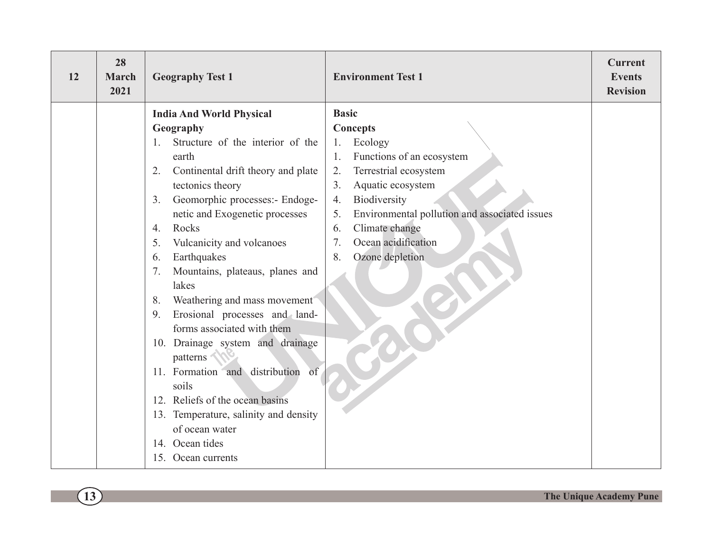| 12 | 28<br><b>March</b><br>2021 | <b>Geography Test 1</b>                          | <b>Environment Test 1</b>                           | <b>Current</b><br><b>Events</b><br><b>Revision</b> |
|----|----------------------------|--------------------------------------------------|-----------------------------------------------------|----------------------------------------------------|
|    |                            | <b>India And World Physical</b>                  | <b>Basic</b>                                        |                                                    |
|    |                            | Geography                                        | <b>Concepts</b>                                     |                                                    |
|    |                            | Structure of the interior of the<br>$1_{-}$      | Ecology<br>1.                                       |                                                    |
|    |                            | earth                                            | Functions of an ecosystem<br>1.                     |                                                    |
|    |                            | Continental drift theory and plate<br>2.         | Terrestrial ecosystem<br>2.                         |                                                    |
|    |                            | tectonics theory                                 | Aquatic ecosystem<br>3 <sub>1</sub>                 |                                                    |
|    |                            | Geomorphic processes:- Endoge-<br>3 <sub>1</sub> | Biodiversity<br>4.                                  |                                                    |
|    |                            | netic and Exogenetic processes                   | Environmental pollution and associated issues<br>5. |                                                    |
|    |                            | Rocks<br>$\overline{4}$ .                        | Climate change<br>6.                                |                                                    |
|    |                            | Vulcanicity and volcanoes<br>5.                  | Ocean acidification<br>7.                           |                                                    |
|    |                            | Earthquakes<br>6.                                | Ozone depletion<br>8.                               |                                                    |
|    |                            | Mountains, plateaus, planes and<br>7.            |                                                     |                                                    |
|    |                            | lakes<br>Weathering and mass movement<br>8.      |                                                     |                                                    |
|    |                            | Erosional processes and land-<br>9.              |                                                     |                                                    |
|    |                            | forms associated with them                       |                                                     |                                                    |
|    |                            | 10. Drainage system and drainage                 |                                                     |                                                    |
|    |                            | patterns                                         |                                                     |                                                    |
|    |                            | 11. Formation and distribution of                |                                                     |                                                    |
|    |                            | soils                                            |                                                     |                                                    |
|    |                            | 12. Reliefs of the ocean basins                  |                                                     |                                                    |
|    |                            | 13. Temperature, salinity and density            |                                                     |                                                    |
|    |                            | of ocean water                                   |                                                     |                                                    |
|    |                            | 14. Ocean tides                                  |                                                     |                                                    |
|    |                            | 15. Ocean currents                               |                                                     |                                                    |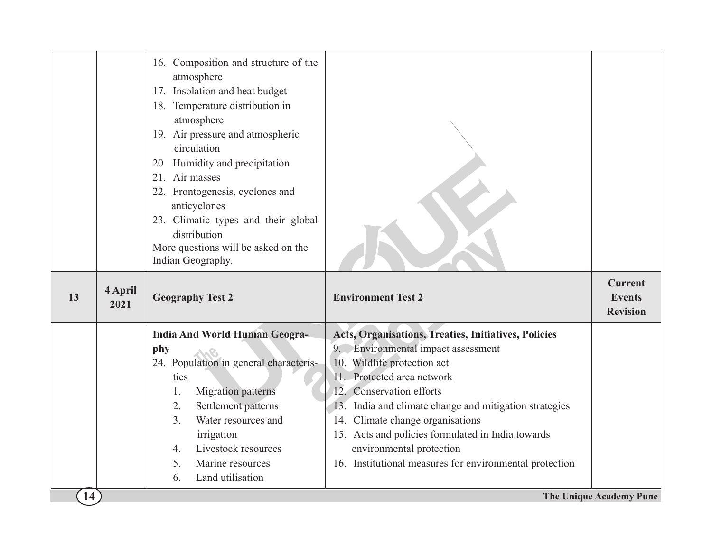|    |                 | 16. Composition and structure of the<br>atmosphere<br>17. Insolation and heat budget<br>18. Temperature distribution in<br>atmosphere<br>19. Air pressure and atmospheric<br>circulation<br>Humidity and precipitation<br>20<br>21. Air masses<br>22. Frontogenesis, cyclones and<br>anticyclones<br>23. Climatic types and their global<br>distribution<br>More questions will be asked on the<br>Indian Geography. |                                                         |                                                    |
|----|-----------------|----------------------------------------------------------------------------------------------------------------------------------------------------------------------------------------------------------------------------------------------------------------------------------------------------------------------------------------------------------------------------------------------------------------------|---------------------------------------------------------|----------------------------------------------------|
| 13 | 4 April<br>2021 | <b>Geography Test 2</b>                                                                                                                                                                                                                                                                                                                                                                                              | <b>Environment Test 2</b>                               | <b>Current</b><br><b>Events</b><br><b>Revision</b> |
|    |                 | <b>India And World Human Geogra-</b>                                                                                                                                                                                                                                                                                                                                                                                 | Acts, Organisations, Treaties, Initiatives, Policies    |                                                    |
|    |                 | phy                                                                                                                                                                                                                                                                                                                                                                                                                  | 9. Environmental impact assessment                      |                                                    |
|    |                 | 24. Population in general characteris-                                                                                                                                                                                                                                                                                                                                                                               | 10. Wildlife protection act                             |                                                    |
|    |                 | tics                                                                                                                                                                                                                                                                                                                                                                                                                 | 11. Protected area network                              |                                                    |
|    |                 | Migration patterns<br>1.                                                                                                                                                                                                                                                                                                                                                                                             | 12. Conservation efforts                                |                                                    |
|    |                 | Settlement patterns<br>2.                                                                                                                                                                                                                                                                                                                                                                                            | 13. India and climate change and mitigation strategies  |                                                    |
|    |                 | Water resources and<br>3 <sub>1</sub>                                                                                                                                                                                                                                                                                                                                                                                | 14. Climate change organisations                        |                                                    |
|    |                 | irrigation                                                                                                                                                                                                                                                                                                                                                                                                           | 15. Acts and policies formulated in India towards       |                                                    |
|    |                 | Livestock resources<br>$\overline{4}$ .                                                                                                                                                                                                                                                                                                                                                                              | environmental protection                                |                                                    |
|    |                 | 5.<br>Marine resources                                                                                                                                                                                                                                                                                                                                                                                               | 16. Institutional measures for environmental protection |                                                    |
|    |                 |                                                                                                                                                                                                                                                                                                                                                                                                                      |                                                         |                                                    |
|    |                 | Land utilisation<br>6.                                                                                                                                                                                                                                                                                                                                                                                               |                                                         |                                                    |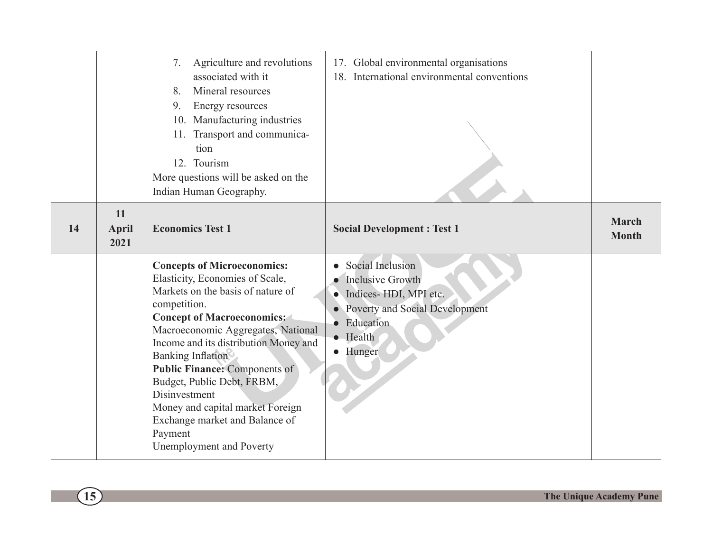|    |                            | Agriculture and revolutions<br>7.<br>associated with it<br>Mineral resources<br>8.<br>9.<br>Energy resources<br>10. Manufacturing industries<br>11. Transport and communica-<br>tion<br>12. Tourism<br>More questions will be asked on the<br>Indian Human Geography.                                                                                                                                                                                                          | 17. Global environmental organisations<br>18. International environmental conventions                                                                       |                              |
|----|----------------------------|--------------------------------------------------------------------------------------------------------------------------------------------------------------------------------------------------------------------------------------------------------------------------------------------------------------------------------------------------------------------------------------------------------------------------------------------------------------------------------|-------------------------------------------------------------------------------------------------------------------------------------------------------------|------------------------------|
| 14 | 11<br><b>April</b><br>2021 | <b>Economics Test 1</b>                                                                                                                                                                                                                                                                                                                                                                                                                                                        | <b>Social Development: Test 1</b>                                                                                                                           | <b>March</b><br><b>Month</b> |
|    |                            | <b>Concepts of Microeconomics:</b><br>Elasticity, Economies of Scale,<br>Markets on the basis of nature of<br>competition.<br><b>Concept of Macroeconomics:</b><br>Macroeconomic Aggregates, National<br>Income and its distribution Money and<br><b>Banking Inflation</b><br><b>Public Finance: Components of</b><br>Budget, Public Debt, FRBM,<br>Disinvestment<br>Money and capital market Foreign<br>Exchange market and Balance of<br>Payment<br>Unemployment and Poverty | • Social Inclusion<br><b>Inclusive Growth</b><br>• Indices-HDI, MPI etc.<br>• Poverty and Social Development<br>· Education<br>$\bullet$ Health<br>· Hunger |                              |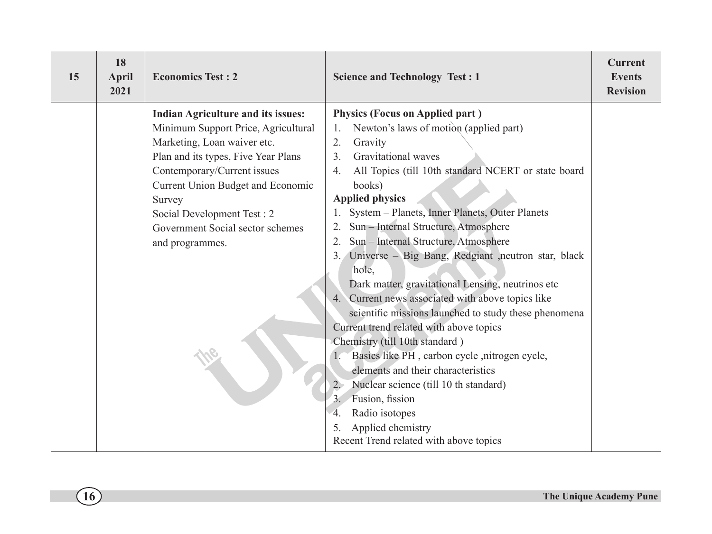| 15 | 18<br><b>April</b><br>2021 | <b>Economics Test: 2</b>                  | <b>Science and Technology Test : 1</b>                                  | <b>Current</b><br><b>Events</b><br><b>Revision</b> |
|----|----------------------------|-------------------------------------------|-------------------------------------------------------------------------|----------------------------------------------------|
|    |                            | <b>Indian Agriculture and its issues:</b> | <b>Physics (Focus on Applied part)</b>                                  |                                                    |
|    |                            | Minimum Support Price, Agricultural       | Newton's laws of motion (applied part)<br>1.                            |                                                    |
|    |                            | Marketing, Loan waiver etc.               | 2.<br>Gravity                                                           |                                                    |
|    |                            | Plan and its types, Five Year Plans       | 3 <sub>1</sub><br>Gravitational waves                                   |                                                    |
|    |                            | Contemporary/Current issues               | All Topics (till 10th standard NCERT or state board<br>$\overline{4}$ . |                                                    |
|    |                            | Current Union Budget and Economic         | books)                                                                  |                                                    |
|    |                            | Survey                                    | <b>Applied physics</b>                                                  |                                                    |
|    |                            | Social Development Test: 2                | System - Planets, Inner Planets, Outer Planets                          |                                                    |
|    |                            | Government Social sector schemes          | Sun - Internal Structure, Atmosphere                                    |                                                    |
|    |                            | and programmes.                           | Sun - Internal Structure, Atmosphere                                    |                                                    |
|    |                            |                                           | Universe - Big Bang, Redgiant , neutron star, black<br>3.7              |                                                    |
|    |                            |                                           | hole,                                                                   |                                                    |
|    |                            |                                           | Dark matter, gravitational Lensing, neutrinos etc                       |                                                    |
|    |                            |                                           | Current news associated with above topics like<br>4.                    |                                                    |
|    |                            |                                           | scientific missions launched to study these phenomena                   |                                                    |
|    |                            |                                           | Current trend related with above topics                                 |                                                    |
|    |                            |                                           | Chemistry (till 10th standard)                                          |                                                    |
|    |                            |                                           | Basics like PH, carbon cycle, nitrogen cycle,                           |                                                    |
|    |                            |                                           | elements and their characteristics                                      |                                                    |
|    |                            |                                           | Nuclear science (till 10 th standard)<br>$2 -$                          |                                                    |
|    |                            |                                           | Fusion, fission<br>3 <sup>2</sup>                                       |                                                    |
|    |                            |                                           | Radio isotopes<br>4.                                                    |                                                    |
|    |                            |                                           | Applied chemistry                                                       |                                                    |
|    |                            |                                           | Recent Trend related with above topics                                  |                                                    |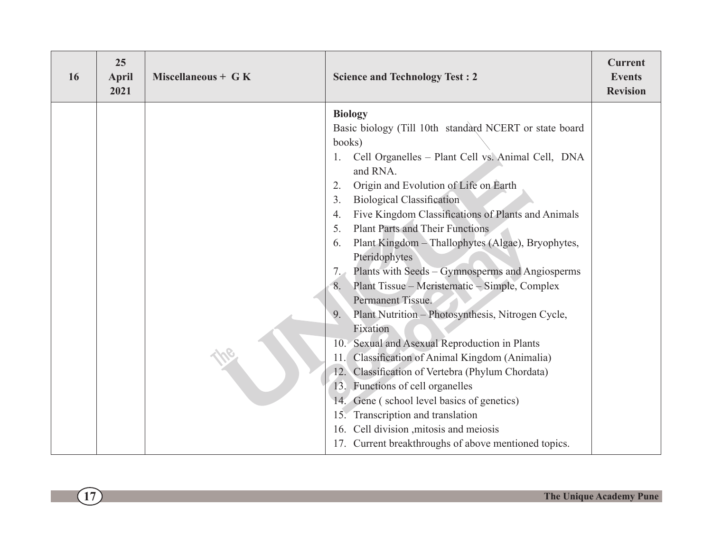| 25<br>16<br><b>April</b><br>2021 | Miscellaneous + $G K$ | <b>Science and Technology Test: 2</b>                                                                                                                                                                                                                                                                                                                                                                                                                                                                                                                                                                                                                                                                                                                                                                                                                                                                                                                                                                                                                   | <b>Current</b><br><b>Events</b><br><b>Revision</b> |
|----------------------------------|-----------------------|---------------------------------------------------------------------------------------------------------------------------------------------------------------------------------------------------------------------------------------------------------------------------------------------------------------------------------------------------------------------------------------------------------------------------------------------------------------------------------------------------------------------------------------------------------------------------------------------------------------------------------------------------------------------------------------------------------------------------------------------------------------------------------------------------------------------------------------------------------------------------------------------------------------------------------------------------------------------------------------------------------------------------------------------------------|----------------------------------------------------|
|                                  |                       | <b>Biology</b><br>Basic biology (Till 10th standard NCERT or state board<br>books)<br>Cell Organelles - Plant Cell vs. Animal Cell, DNA<br>1.<br>and RNA.<br>Origin and Evolution of Life on Earth<br>2.<br><b>Biological Classification</b><br>3 <sub>1</sub><br>Five Kingdom Classifications of Plants and Animals<br>4.<br><b>Plant Parts and Their Functions</b><br>5.<br>Plant Kingdom - Thallophytes (Algae), Bryophytes,<br>6.<br>Pteridophytes<br>Plants with Seeds – Gymnosperms and Angiosperms<br>7.<br>Plant Tissue – Meristematic – Simple, Complex<br>8.<br>Permanent Tissue.<br>Plant Nutrition - Photosynthesis, Nitrogen Cycle,<br>9.<br>Fixation<br>10. Sexual and Asexual Reproduction in Plants<br>Classification of Animal Kingdom (Animalia)<br>11.<br>12. Classification of Vertebra (Phylum Chordata)<br>13. Functions of cell organelles<br>14. Gene (school level basics of genetics)<br>15. Transcription and translation<br>16. Cell division , mitosis and meiosis<br>17. Current breakthroughs of above mentioned topics. |                                                    |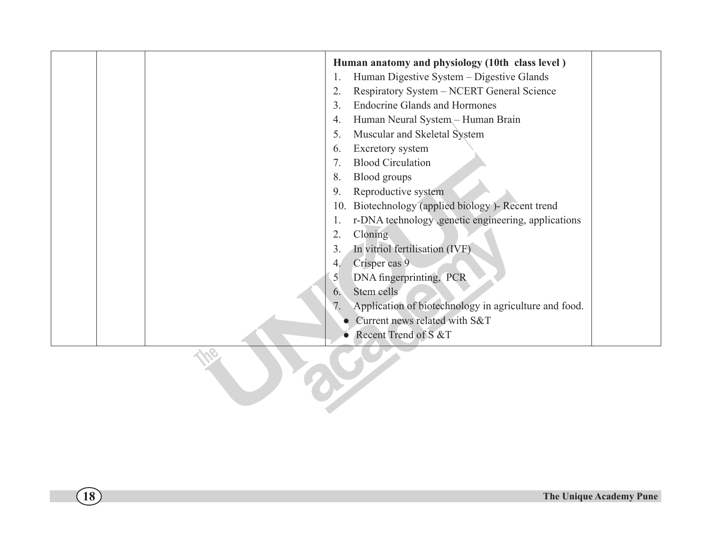| Human anatomy and physiology (10th class level)           |
|-----------------------------------------------------------|
| Human Digestive System - Digestive Glands<br>1.           |
| Respiratory System - NCERT General Science<br>2.          |
| <b>Endocrine Glands and Hormones</b><br>3.                |
| Human Neural System - Human Brain<br>4.                   |
| Muscular and Skeletal System<br>5.                        |
| Excretory system<br>6.                                    |
| <b>Blood Circulation</b><br>7.                            |
| 8.<br>Blood groups                                        |
| Reproductive system<br>9.                                 |
| Biotechnology (applied biology) - Recent trend<br>10.     |
| r-DNA technology ,genetic engineering, applications<br>1. |
| 2.<br>Cloning                                             |
| In vitriol fertilisation (IVF)<br>3.                      |
| Crisper cas 9<br>4.                                       |
| DNA fingerprinting, PCR<br>5                              |
| Stem cells<br>$\mathbf{b}$ .                              |
| Application of biotechnology in agriculture and food.     |
| Current news related with S&T                             |
| • Recent Trend of S &T                                    |
|                                                           |
|                                                           |
|                                                           |
|                                                           |
|                                                           |
|                                                           |
|                                                           |